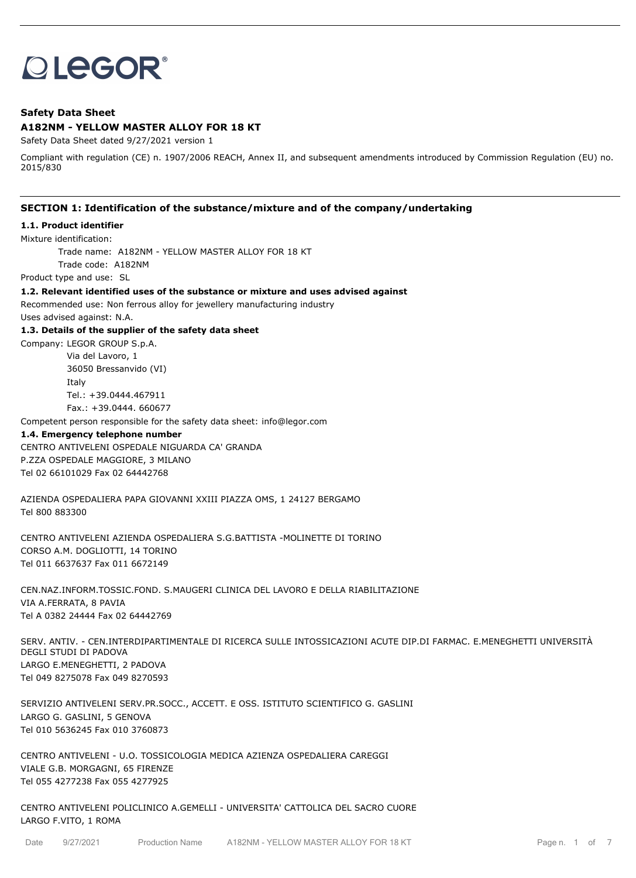# **OLEGOR®**

# **Safety Data Sheet**

# **A182NM - YELLOW MASTER ALLOY FOR 18 KT**

Safety Data Sheet dated 9/27/2021 version 1

Compliant with regulation (CE) n. 1907/2006 REACH, Annex II, and subsequent amendments introduced by Commission Regulation (EU) no. 2015/830

# **SECTION 1: Identification of the substance/mixture and of the company/undertaking**

#### **1.1. Product identifier**

Mixture identification:

Trade name: A182NM - YELLOW MASTER ALLOY FOR 18 KT

Trade code: A182NM

Product type and use: SL

#### **1.2. Relevant identified uses of the substance or mixture and uses advised against**

Recommended use: Non ferrous alloy for jewellery manufacturing industry

Uses advised against: N.A.

#### **1.3. Details of the supplier of the safety data sheet**

Company: LEGOR GROUP S.p.A. Via del Lavoro, 1 36050 Bressanvido (VI) Italy

Tel.: +39.0444.467911

Fax.: +39.0444. 660677

Competent person responsible for the safety data sheet: info@legor.com

# **1.4. Emergency telephone number**

CENTRO ANTIVELENI OSPEDALE NIGUARDA CA' GRANDA P.ZZA OSPEDALE MAGGIORE, 3 MILANO Tel 02 66101029 Fax 02 64442768

AZIENDA OSPEDALIERA PAPA GIOVANNI XXIII PIAZZA OMS, 1 24127 BERGAMO Tel 800 883300

CENTRO ANTIVELENI AZIENDA OSPEDALIERA S.G.BATTISTA -MOLINETTE DI TORINO CORSO A.M. DOGLIOTTI, 14 TORINO Tel 011 6637637 Fax 011 6672149

CEN.NAZ.INFORM.TOSSIC.FOND. S.MAUGERI CLINICA DEL LAVORO E DELLA RIABILITAZIONE VIA A.FERRATA, 8 PAVIA Tel A 0382 24444 Fax 02 64442769

SERV. ANTIV. - CEN.INTERDIPARTIMENTALE DI RICERCA SULLE INTOSSICAZIONI ACUTE DIP.DI FARMAC. E.MENEGHETTI UNIVERSITÀ DEGLI STUDI DI PADOVA LARGO E.MENEGHETTI, 2 PADOVA Tel 049 8275078 Fax 049 8270593

SERVIZIO ANTIVELENI SERV.PR.SOCC., ACCETT. E OSS. ISTITUTO SCIENTIFICO G. GASLINI LARGO G. GASLINI, 5 GENOVA Tel 010 5636245 Fax 010 3760873

CENTRO ANTIVELENI - U.O. TOSSICOLOGIA MEDICA AZIENZA OSPEDALIERA CAREGGI VIALE G.B. MORGAGNI, 65 FIRENZE Tel 055 4277238 Fax 055 4277925

CENTRO ANTIVELENI POLICLINICO A.GEMELLI - UNIVERSITA' CATTOLICA DEL SACRO CUORE LARGO F.VITO, 1 ROMA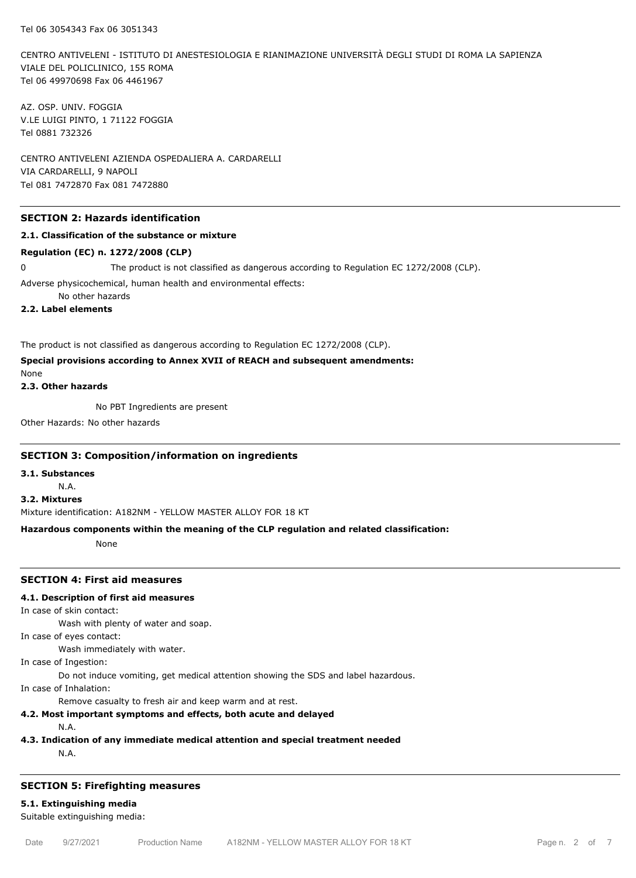CENTRO ANTIVELENI - ISTITUTO DI ANESTESIOLOGIA E RIANIMAZIONE UNIVERSITÀ DEGLI STUDI DI ROMA LA SAPIENZA VIALE DEL POLICLINICO, 155 ROMA Tel 06 49970698 Fax 06 4461967

AZ. OSP. UNIV. FOGGIA V.LE LUIGI PINTO, 1 71122 FOGGIA Tel 0881 732326

CENTRO ANTIVELENI AZIENDA OSPEDALIERA A. CARDARELLI VIA CARDARELLI, 9 NAPOLI Tel 081 7472870 Fax 081 7472880

# **SECTION 2: Hazards identification**

### **2.1. Classification of the substance or mixture**

#### **Regulation (EC) n. 1272/2008 (CLP)**

0 The product is not classified as dangerous according to Regulation EC 1272/2008 (CLP).

Adverse physicochemical, human health and environmental effects:

No other hazards

**2.2. Label elements**

The product is not classified as dangerous according to Regulation EC 1272/2008 (CLP).

**Special provisions according to Annex XVII of REACH and subsequent amendments:**

None

**2.3. Other hazards**

No PBT Ingredients are present

Other Hazards: No other hazards

#### **SECTION 3: Composition/information on ingredients**

**3.1. Substances**

N.A.

# **3.2. Mixtures**

Mixture identification: A182NM - YELLOW MASTER ALLOY FOR 18 KT

#### **Hazardous components within the meaning of the CLP regulation and related classification:**

None

#### **SECTION 4: First aid measures**

#### **4.1. Description of first aid measures**

In case of skin contact:

Wash with plenty of water and soap.

In case of eyes contact:

Wash immediately with water.

In case of Ingestion:

Do not induce vomiting, get medical attention showing the SDS and label hazardous.

In case of Inhalation:

Remove casualty to fresh air and keep warm and at rest.

# **4.2. Most important symptoms and effects, both acute and delayed**

N.A.

#### **4.3. Indication of any immediate medical attention and special treatment needed**

N.A.

# **SECTION 5: Firefighting measures**

# **5.1. Extinguishing media**

Suitable extinguishing media: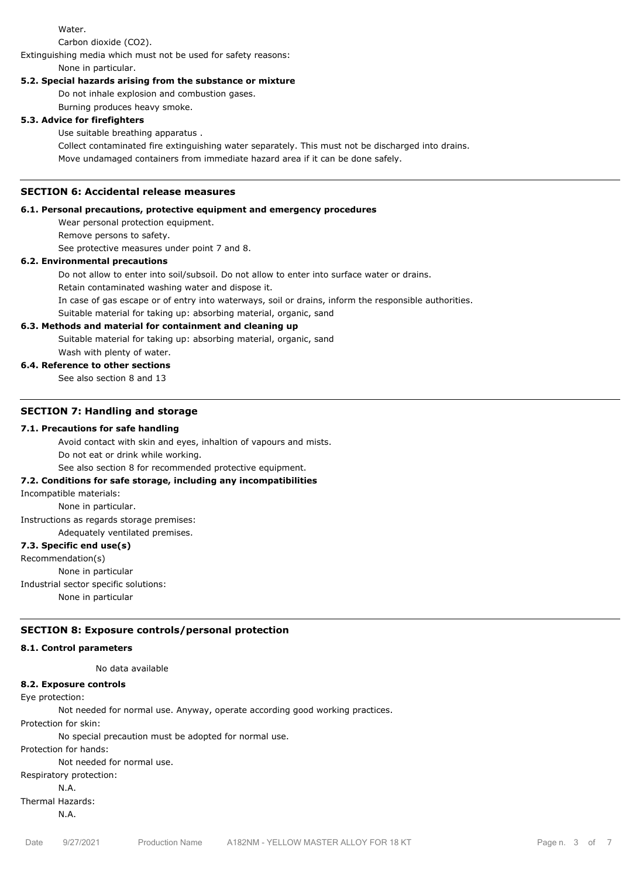Water.

Carbon dioxide (CO2).

Extinguishing media which must not be used for safety reasons:

None in particular.

# **5.2. Special hazards arising from the substance or mixture**

Do not inhale explosion and combustion gases.

Burning produces heavy smoke.

# **5.3. Advice for firefighters**

Use suitable breathing apparatus .

Collect contaminated fire extinguishing water separately. This must not be discharged into drains. Move undamaged containers from immediate hazard area if it can be done safely.

# **SECTION 6: Accidental release measures**

# **6.1. Personal precautions, protective equipment and emergency procedures**

Wear personal protection equipment.

Remove persons to safety.

See protective measures under point 7 and 8.

# **6.2. Environmental precautions**

Do not allow to enter into soil/subsoil. Do not allow to enter into surface water or drains.

Retain contaminated washing water and dispose it.

In case of gas escape or of entry into waterways, soil or drains, inform the responsible authorities.

Suitable material for taking up: absorbing material, organic, sand

# **6.3. Methods and material for containment and cleaning up**

Suitable material for taking up: absorbing material, organic, sand Wash with plenty of water.

# **6.4. Reference to other sections**

See also section 8 and 13

# **SECTION 7: Handling and storage**

# **7.1. Precautions for safe handling**

Avoid contact with skin and eyes, inhaltion of vapours and mists.

Do not eat or drink while working.

See also section 8 for recommended protective equipment.

# **7.2. Conditions for safe storage, including any incompatibilities**

Incompatible materials:

None in particular.

Instructions as regards storage premises:

Adequately ventilated premises.

# **7.3. Specific end use(s)**

Recommendation(s)

None in particular

Industrial sector specific solutions:

None in particular

# **SECTION 8: Exposure controls/personal protection**

# **8.1. Control parameters**

No data available

# **8.2. Exposure controls**

Eye protection:

Not needed for normal use. Anyway, operate according good working practices.

Protection for skin:

No special precaution must be adopted for normal use.

Protection for hands:

Not needed for normal use.

Respiratory protection:

N.A. Thermal Hazards:

N.A.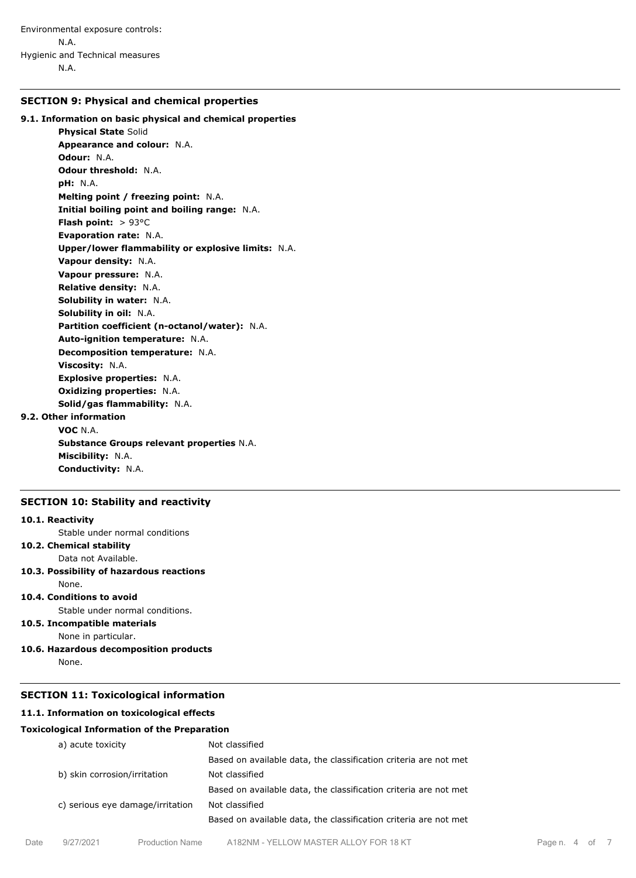# **SECTION 9: Physical and chemical properties**

# **9.1. Information on basic physical and chemical properties**

**Physical State** Solid **Appearance and colour:** N.A. **Odour:** N.A. **Odour threshold:** N.A. **pH:** N.A. **Melting point / freezing point:** N.A. **Initial boiling point and boiling range:** N.A. **Flash point:** > 93°C **Evaporation rate:** N.A. **Upper/lower flammability or explosive limits:** N.A. **Vapour density:** N.A. **Vapour pressure:** N.A. **Relative density:** N.A. **Solubility in water:** N.A. **Solubility in oil:** N.A. **Partition coefficient (n-octanol/water):** N.A. **Auto-ignition temperature:** N.A. **Decomposition temperature:** N.A. **Viscosity:** N.A. **Explosive properties:** N.A. **Oxidizing properties:** N.A. **Solid/gas flammability:** N.A. **9.2. Other information VOC** N.A. **Substance Groups relevant properties** N.A. **Miscibility:** N.A.

#### **SECTION 10: Stability and reactivity**

**Conductivity:** N.A.

#### **10.1. Reactivity**

- Stable under normal conditions
- **10.2. Chemical stability**

Data not Available.

# **10.3. Possibility of hazardous reactions**

None.

# **10.4. Conditions to avoid**

Stable under normal conditions.

# **10.5. Incompatible materials**

None in particular.

**10.6. Hazardous decomposition products** None.

# **SECTION 11: Toxicological information**

# **11.1. Information on toxicological effects**

#### **Toxicological Information of the Preparation**

| a) acute toxicity                | Not classified                                                   |
|----------------------------------|------------------------------------------------------------------|
|                                  | Based on available data, the classification criteria are not met |
| b) skin corrosion/irritation     | Not classified                                                   |
|                                  | Based on available data, the classification criteria are not met |
| c) serious eye damage/irritation | Not classified                                                   |
|                                  | Based on available data, the classification criteria are not met |
|                                  |                                                                  |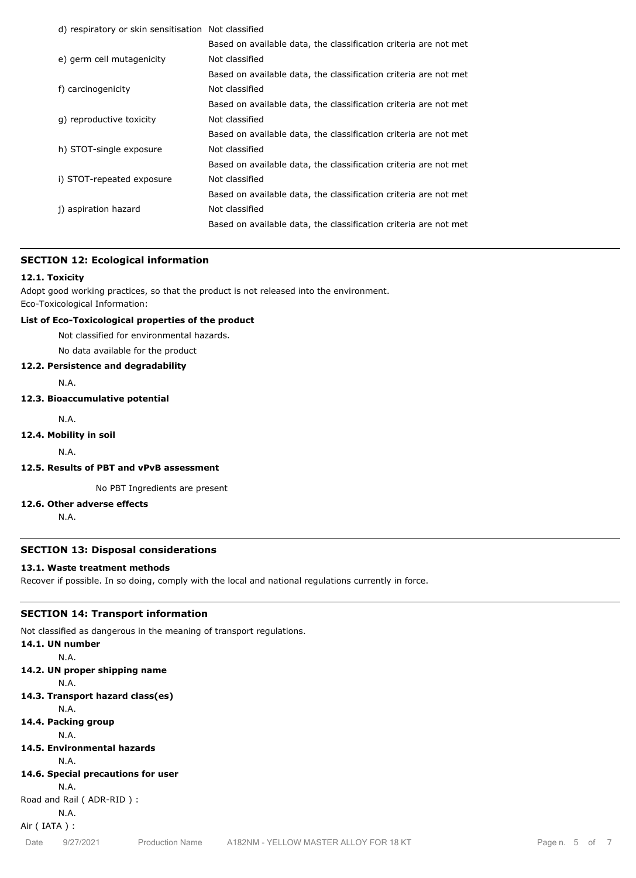| d) respiratory or skin sensitisation Not classified |                                                                  |
|-----------------------------------------------------|------------------------------------------------------------------|
|                                                     | Based on available data, the classification criteria are not met |
| e) germ cell mutagenicity                           | Not classified                                                   |
|                                                     | Based on available data, the classification criteria are not met |
| f) carcinogenicity                                  | Not classified                                                   |
|                                                     | Based on available data, the classification criteria are not met |
| g) reproductive toxicity                            | Not classified                                                   |
|                                                     | Based on available data, the classification criteria are not met |
| h) STOT-single exposure                             | Not classified                                                   |
|                                                     | Based on available data, the classification criteria are not met |
| i) STOT-repeated exposure                           | Not classified                                                   |
|                                                     | Based on available data, the classification criteria are not met |
| j) aspiration hazard                                | Not classified                                                   |
|                                                     | Based on available data, the classification criteria are not met |
|                                                     |                                                                  |

# **SECTION 12: Ecological information**

# **12.1. Toxicity**

Adopt good working practices, so that the product is not released into the environment. Eco-Toxicological Information:

# **List of Eco-Toxicological properties of the product**

Not classified for environmental hazards.

No data available for the product

#### **12.2. Persistence and degradability**

N.A.

# **12.3. Bioaccumulative potential**

N.A.

#### **12.4. Mobility in soil**

N.A.

# **12.5. Results of PBT and vPvB assessment**

No PBT Ingredients are present

# **12.6. Other adverse effects**

N.A.

#### **SECTION 13: Disposal considerations**

# **13.1. Waste treatment methods**

Recover if possible. In so doing, comply with the local and national regulations currently in force.

#### **SECTION 14: Transport information**

Not classified as dangerous in the meaning of transport regulations.

# **14.1. UN number**

N.A.

**14.2. UN proper shipping name**

N.A.

# **14.3. Transport hazard class(es)**

N.A.

- **14.4. Packing group**
- N.A. **14.5. Environmental hazards**

# N.A.

- 
- **14.6. Special precautions for user**

N.A.

Road and Rail ( ADR-RID ) :

N.A.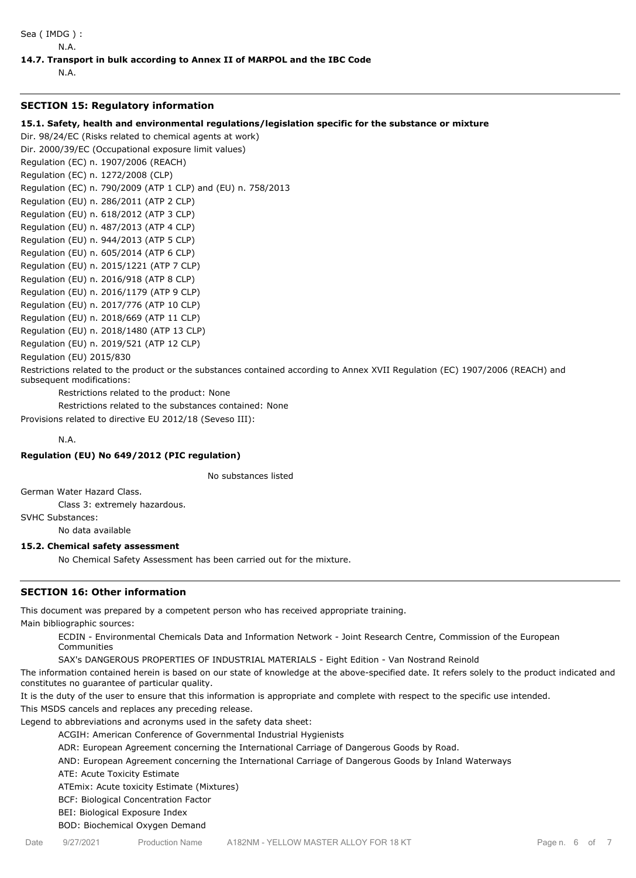Sea ( IMDG ) :

#### N.A.

#### **14.7. Transport in bulk according to Annex II of MARPOL and the IBC Code**

N.A.

#### **SECTION 15: Regulatory information**

#### **15.1. Safety, health and environmental regulations/legislation specific for the substance or mixture**

Dir. 98/24/EC (Risks related to chemical agents at work)

Dir. 2000/39/EC (Occupational exposure limit values) Regulation (EC) n. 1907/2006 (REACH) Regulation (EC) n. 1272/2008 (CLP) Regulation (EC) n. 790/2009 (ATP 1 CLP) and (EU) n. 758/2013 Regulation (EU) n. 286/2011 (ATP 2 CLP) Regulation (EU) n. 618/2012 (ATP 3 CLP) Regulation (EU) n. 487/2013 (ATP 4 CLP) Regulation (EU) n. 944/2013 (ATP 5 CLP) Regulation (EU) n. 605/2014 (ATP 6 CLP) Regulation (EU) n. 2015/1221 (ATP 7 CLP) Regulation (EU) n. 2016/918 (ATP 8 CLP) Regulation (EU) n. 2016/1179 (ATP 9 CLP) Regulation (EU) n. 2017/776 (ATP 10 CLP) Regulation (EU) n. 2018/669 (ATP 11 CLP) Regulation (EU) n. 2018/1480 (ATP 13 CLP) Regulation (EU) n. 2019/521 (ATP 12 CLP)

Regulation (EU) 2015/830

Restrictions related to the product or the substances contained according to Annex XVII Regulation (EC) 1907/2006 (REACH) and subsequent modifications:

Restrictions related to the product: None

Restrictions related to the substances contained: None

Provisions related to directive EU 2012/18 (Seveso III):

N.A.

# **Regulation (EU) No 649/2012 (PIC regulation)**

No substances listed

German Water Hazard Class.

Class 3: extremely hazardous.

SVHC Substances:

No data available

#### **15.2. Chemical safety assessment**

No Chemical Safety Assessment has been carried out for the mixture.

# **SECTION 16: Other information**

This document was prepared by a competent person who has received appropriate training. Main bibliographic sources:

ECDIN - Environmental Chemicals Data and Information Network - Joint Research Centre, Commission of the European Communities

SAX's DANGEROUS PROPERTIES OF INDUSTRIAL MATERIALS - Eight Edition - Van Nostrand Reinold

The information contained herein is based on our state of knowledge at the above-specified date. It refers solely to the product indicated and constitutes no guarantee of particular quality.

It is the duty of the user to ensure that this information is appropriate and complete with respect to the specific use intended.

This MSDS cancels and replaces any preceding release.

Legend to abbreviations and acronyms used in the safety data sheet:

ACGIH: American Conference of Governmental Industrial Hygienists

ADR: European Agreement concerning the International Carriage of Dangerous Goods by Road.

AND: European Agreement concerning the International Carriage of Dangerous Goods by Inland Waterways

ATE: Acute Toxicity Estimate

ATEmix: Acute toxicity Estimate (Mixtures)

BCF: Biological Concentration Factor

BEI: Biological Exposure Index

BOD: Biochemical Oxygen Demand